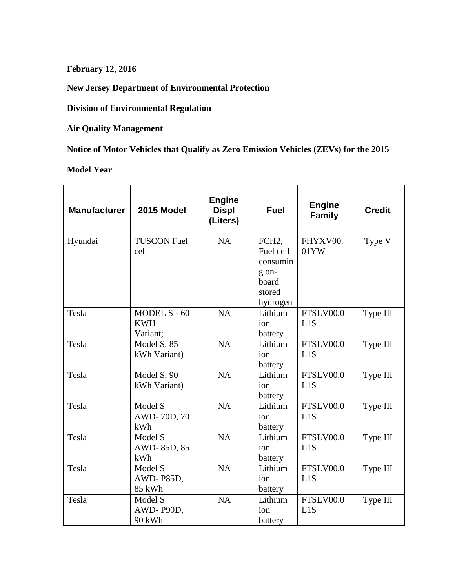**February 12, 2016**

**New Jersey Department of Environmental Protection**

**Division of Environmental Regulation**

**Air Quality Management**

**Notice of Motor Vehicles that Qualify as Zero Emission Vehicles (ZEVs) for the 2015**

**Model Year**

| <b>Manufacturer</b> | 2015 Model                             | <b>Engine</b><br><b>Displ</b><br>(Liters) | <b>Fuel</b>                                                                         | <b>Engine</b><br><b>Family</b> | <b>Credit</b>         |
|---------------------|----------------------------------------|-------------------------------------------|-------------------------------------------------------------------------------------|--------------------------------|-----------------------|
| Hyundai             | <b>TUSCON Fuel</b><br>cell             | <b>NA</b>                                 | FCH <sub>2</sub> ,<br>Fuel cell<br>consumin<br>g on-<br>board<br>stored<br>hydrogen | FHYXV00.<br>01YW               | Type V                |
| Tesla               | MODEL S - 60<br><b>KWH</b><br>Variant; | NA                                        | Lithium<br>ion<br>battery                                                           | FTSLV00.0<br>L1S               | Type III              |
| Tesla               | Model S, 85<br>kWh Variant)            | <b>NA</b>                                 | Lithium<br>ion<br>battery                                                           | FTSLV00.0<br>L1S               | Type III              |
| Tesla               | Model S, 90<br>kWh Variant)            | NA                                        | Lithium<br>ion<br>battery                                                           | FTSLV00.0<br>L1S               | Type III              |
| Tesla               | Model S<br>AWD-70D, 70<br>kWh          | NA                                        | Lithium<br>ion<br>battery                                                           | FTSLV00.0<br>L1S               | Type $\overline{III}$ |
| Tesla               | Model S<br>AWD-85D, 85<br>kWh          | NA                                        | Lithium<br>ion<br>battery                                                           | FTSLV00.0<br>L1S               | Type III              |
| Tesla               | Model S<br>AWD-P85D,<br>85 kWh         | NA                                        | Lithium<br>ion<br>battery                                                           | FTSLV00.0<br>L1S               | Type III              |
| Tesla               | Model S<br>AWD-P90D,<br>90 kWh         | <b>NA</b>                                 | Lithium<br>ion<br>battery                                                           | FTSLV00.0<br>L1S               | Type III              |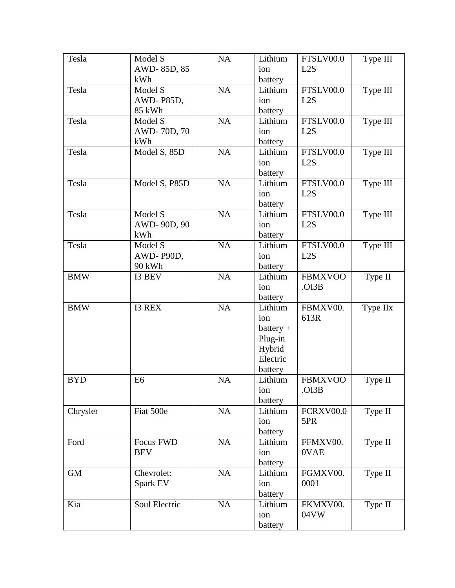| Tesla      | Model S        | NA | Lithium     | FTSLV00.0      | Type III |
|------------|----------------|----|-------------|----------------|----------|
|            | AWD-85D, 85    |    | ion         | L2S            |          |
|            | kWh            |    | battery     |                |          |
| Tesla      | Model S        | NA | Lithium     | FTSLV00.0      | Type III |
|            | AWD-P85D,      |    | ion         | L2S            |          |
|            | 85 kWh         |    | battery     |                |          |
| Tesla      | Model S        | NA | Lithium     | FTSLV00.0      | Type III |
|            | AWD-70D, 70    |    | ion         | L2S            |          |
|            | kWh            |    | battery     |                |          |
| Tesla      | Model S, 85D   | NA | Lithium     | FTSLV00.0      | Type III |
|            |                |    | ion         | L2S            |          |
|            |                |    | battery     |                |          |
| Tesla      | Model S, P85D  | NA | Lithium     | FTSLV00.0      | Type III |
|            |                |    | ion         | L2S            |          |
|            |                |    | battery     |                |          |
| Tesla      | Model S        | NA | Lithium     | FTSLV00.0      | Type III |
|            | AWD-90D, 90    |    | ion         | L2S            |          |
|            | kWh            |    | battery     |                |          |
| Tesla      | Model S        | NA | Lithium     | FTSLV00.0      | Type III |
|            | AWD-P90D,      |    | ion         | L2S            |          |
|            | 90 kWh         |    | battery     |                |          |
| <b>BMW</b> | I3 BEV         | NA | Lithium     | <b>FBMXVOO</b> | Type II  |
|            |                |    | ion         | .OI3B          |          |
|            |                |    | battery     |                |          |
| <b>BMW</b> | <b>I3 REX</b>  | NA | Lithium     | FBMXV00.       | Type IIx |
|            |                |    | ion         | 613R           |          |
|            |                |    | $battery +$ |                |          |
|            |                |    | Plug-in     |                |          |
|            |                |    | Hybrid      |                |          |
|            |                |    | Electric    |                |          |
|            |                |    | battery     |                |          |
| <b>BYD</b> | E <sub>6</sub> | NA | Lithium     | <b>FBMXVOO</b> | Type II  |
|            |                |    | ion         | .OI3B          |          |
|            |                |    | battery     |                |          |
| Chrysler   | Fiat 500e      | NA | Lithium     | FCRXV00.0      | Type II  |
|            |                |    | ion         | 5PR            |          |
|            |                |    | battery     |                |          |
| Ford       | Focus FWD      | NA | Lithium     | FFMXV00.       | Type II  |
|            | <b>BEV</b>     |    | ion         | 0VAE           |          |
|            |                |    | battery     |                |          |
| <b>GM</b>  | Chevrolet:     | NA | Lithium     | FGMXV00.       | Type II  |
|            | Spark EV       |    | ion         | 0001           |          |
|            |                |    | battery     |                |          |
| Kia        | Soul Electric  | NA | Lithium     | FKMXV00.       | Type II  |
|            |                |    | ion         | 04VW           |          |
|            |                |    | battery     |                |          |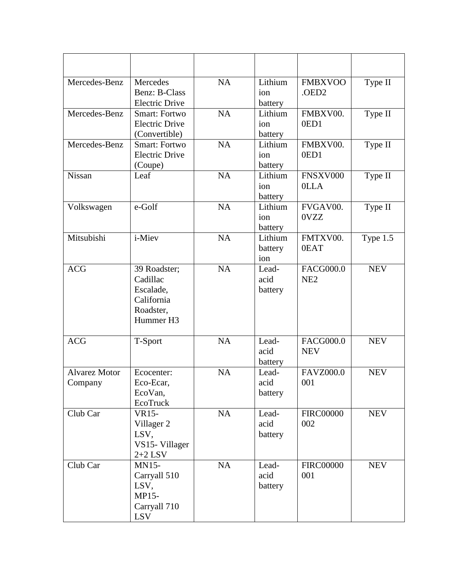| Mercedes-Benz                   | Mercedes<br>Benz: B-Class<br><b>Electric Drive</b>                            | <b>NA</b> | Lithium<br>ion<br>battery | <b>FMBXVOO</b><br>.OED2             | Type II    |
|---------------------------------|-------------------------------------------------------------------------------|-----------|---------------------------|-------------------------------------|------------|
| Mercedes-Benz                   | <b>Smart: Fortwo</b><br><b>Electric Drive</b><br>(Convertible)                | <b>NA</b> | Lithium<br>ion<br>battery | FMBXV00.<br>0ED1                    | Type II    |
| Mercedes-Benz                   | Smart: Fortwo<br><b>Electric Drive</b><br>(Coupe)                             | <b>NA</b> | Lithium<br>ion<br>battery | FMBXV00.<br>0ED1                    | Type II    |
| Nissan                          | Leaf                                                                          | <b>NA</b> | Lithium<br>ion<br>battery | FNSXV000<br><b>OLLA</b>             | Type II    |
| Volkswagen                      | e-Golf                                                                        | NA        | Lithium<br>ion<br>battery | FVGAV00.<br>0VZZ                    | Type II    |
| Mitsubishi                      | i-Miev                                                                        | <b>NA</b> | Lithium<br>battery<br>ion | FMTXV00.<br>0EAT                    | Type 1.5   |
| <b>ACG</b>                      | 39 Roadster;<br>Cadillac<br>Escalade,<br>California<br>Roadster,<br>Hummer H3 | NA        | Lead-<br>acid<br>battery  | <b>FACG000.0</b><br>NE <sub>2</sub> | <b>NEV</b> |
| <b>ACG</b>                      | T-Sport                                                                       | <b>NA</b> | Lead-<br>acid<br>battery  | <b>FACG000.0</b><br><b>NEV</b>      | <b>NEV</b> |
| <b>Alvarez Motor</b><br>Company | Ecocenter:<br>Eco-Ecar,<br>EcoVan,<br>EcoTruck                                | <b>NA</b> | Lead-<br>acid<br>battery  | <b>FAVZ000.0</b><br>001             | <b>NEV</b> |
| Club Car                        | VR15-<br>Villager 2<br>LSV,<br>VS15- Villager<br>$2+2$ LSV                    | NA        | Lead-<br>acid<br>battery  | <b>FIRC00000</b><br>002             | <b>NEV</b> |
| Club Car                        | <b>MN15-</b><br>Carryall 510<br>LSV,<br>MP15-<br>Carryall 710<br><b>LSV</b>   | NA        | Lead-<br>acid<br>battery  | <b>FIRC00000</b><br>001             | <b>NEV</b> |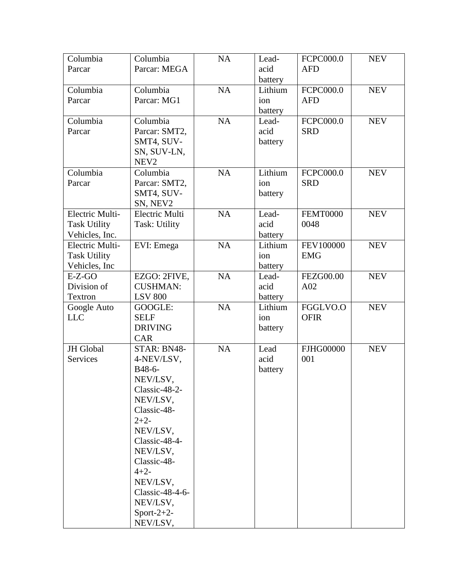| Columbia            | Columbia         | NA        | Lead-   | FCPC000.0        | <b>NEV</b> |
|---------------------|------------------|-----------|---------|------------------|------------|
| Parcar              | Parcar: MEGA     |           | acid    | <b>AFD</b>       |            |
|                     |                  |           | battery |                  |            |
| Columbia            | Columbia         | <b>NA</b> | Lithium | FCPC000.0        | <b>NEV</b> |
| Parcar              | Parcar: MG1      |           | ion     | <b>AFD</b>       |            |
|                     |                  |           | battery |                  |            |
| Columbia            | Columbia         | NA        | Lead-   | FCPC000.0        | <b>NEV</b> |
| Parcar              | Parcar: SMT2,    |           | acid    | <b>SRD</b>       |            |
|                     | SMT4, SUV-       |           | battery |                  |            |
|                     | SN, SUV-LN,      |           |         |                  |            |
|                     | NEV <sub>2</sub> |           |         |                  |            |
| Columbia            | Columbia         | <b>NA</b> | Lithium | <b>FCPC000.0</b> | <b>NEV</b> |
| Parcar              | Parcar: SMT2,    |           | ion     | <b>SRD</b>       |            |
|                     | SMT4, SUV-       |           | battery |                  |            |
|                     | SN, NEV2         |           |         |                  |            |
| Electric Multi-     | Electric Multi   | <b>NA</b> | Lead-   | <b>FEMT0000</b>  | <b>NEV</b> |
| <b>Task Utility</b> | Task: Utility    |           | acid    | 0048             |            |
| Vehicles, Inc.      |                  |           | battery |                  |            |
| Electric Multi-     | EVI: Emega       | <b>NA</b> | Lithium | FEV100000        | <b>NEV</b> |
| <b>Task Utility</b> |                  |           | ion     | <b>EMG</b>       |            |
| Vehicles, Inc       |                  |           | battery |                  |            |
| $E-Z-GO$            | EZGO: 2FIVE,     | <b>NA</b> | Lead-   | <b>FEZG00.00</b> | <b>NEV</b> |
| Division of         | <b>CUSHMAN:</b>  |           | acid    | A02              |            |
| Textron             | <b>LSV 800</b>   |           | battery |                  |            |
| Google Auto         | GOOGLE:          | <b>NA</b> | Lithium | FGGLVO.O         | <b>NEV</b> |
| <b>LLC</b>          | <b>SELF</b>      |           | ion     | <b>OFIR</b>      |            |
|                     | <b>DRIVING</b>   |           | battery |                  |            |
|                     | <b>CAR</b>       |           |         |                  |            |
| JH Global           | STAR: BN48-      | <b>NA</b> | Lead    | <b>FJHG00000</b> | <b>NEV</b> |
| Services            | 4-NEV/LSV,       |           | acid    | 001              |            |
|                     | B48-6-           |           | battery |                  |            |
|                     | NEV/LSV,         |           |         |                  |            |
|                     | Classic-48-2-    |           |         |                  |            |
|                     | NEV/LSV,         |           |         |                  |            |
|                     | Classic-48-      |           |         |                  |            |
|                     | $2+2-$           |           |         |                  |            |
|                     | NEV/LSV.         |           |         |                  |            |
|                     | Classic-48-4-    |           |         |                  |            |
|                     | NEV/LSV,         |           |         |                  |            |
|                     | Classic-48-      |           |         |                  |            |
|                     | $4 + 2 -$        |           |         |                  |            |
|                     | NEV/LSV,         |           |         |                  |            |
|                     | Classic-48-4-6-  |           |         |                  |            |
|                     | NEV/LSV,         |           |         |                  |            |
|                     | Sport-2+2-       |           |         |                  |            |
|                     | NEV/LSV,         |           |         |                  |            |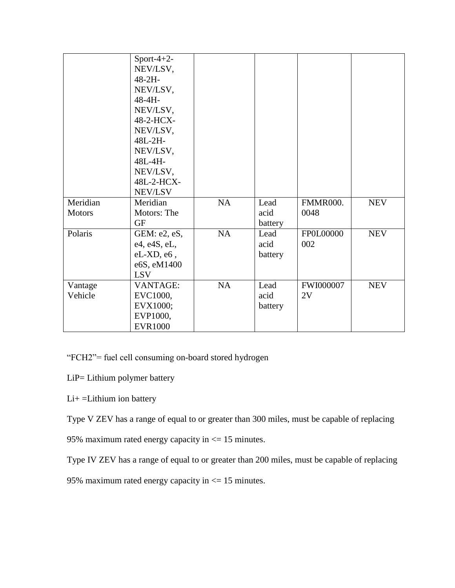|                           | Sport-4+2-<br>NEV/LSV,<br>$48 - 2H -$<br>NEV/LSV,<br>48-4H-<br>NEV/LSV,<br>48-2-HCX- |           |                         |                         |            |
|---------------------------|--------------------------------------------------------------------------------------|-----------|-------------------------|-------------------------|------------|
|                           | NEV/LSV,<br>48L-2H-<br>NEV/LSV,<br>48L-4H-<br>NEV/LSV,<br>48L-2-HCX-<br>NEV/LSV      |           |                         |                         |            |
| Meridian<br><b>Motors</b> | Meridian<br>Motors: The<br><b>GF</b>                                                 | NA        | Lead<br>acid<br>battery | <b>FMMR000.</b><br>0048 | <b>NEV</b> |
| Polaris                   | GEM: e2, eS,<br>e4, e4S, eL,<br>$eL$ -XD, $e6$ ,<br>e6S, eM1400<br><b>LSV</b>        | <b>NA</b> | Lead<br>acid<br>battery | FP0L00000<br>002        | <b>NEV</b> |
| Vantage<br>Vehicle        | <b>VANTAGE:</b><br>EVC1000,<br>EVX1000;<br>EVP1000,<br><b>EVR1000</b>                | <b>NA</b> | Lead<br>acid<br>battery | <b>FWI000007</b><br>2V  | <b>NEV</b> |

"FCH2"= fuel cell consuming on-board stored hydrogen

- LiP= Lithium polymer battery
- Li+ =Lithium ion battery

Type V ZEV has a range of equal to or greater than 300 miles, must be capable of replacing

95% maximum rated energy capacity in <= 15 minutes.

Type IV ZEV has a range of equal to or greater than 200 miles, must be capable of replacing

95% maximum rated energy capacity in <= 15 minutes.